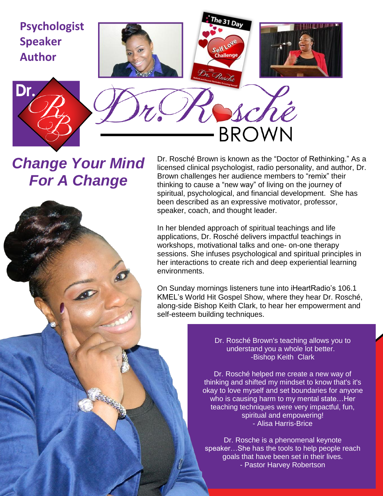

# *Change Your Mind For A Change*

Dr. Rosché Brown is known as the "Doctor of Rethinking." As a licensed clinical psychologist, radio personality, and author, Dr. Brown challenges her audience members to "remix" their thinking to cause a "new way" of living on the journey of spiritual, psychological, and financial development. She has been described as an expressive motivator, professor, speaker, coach, and thought leader.

In her blended approach of spiritual teachings and life applications, Dr. Rosché delivers impactful teachings in workshops, motivational talks and one- on-one therapy sessions. She infuses psychological and spiritual principles in her interactions to create rich and deep experiential learning environments.

On Sunday mornings listeners tune into iHeartRadio's 106.1 KMEL's World Hit Gospel Show, where they hear Dr. Rosché, along-side Bishop Keith Clark, to hear her empowerment and self-esteem building techniques.

> Dr. Rosché Brown's teaching allows you to understand you a whole lot better. -Bishop Keith Clark

Dr. Rosché helped me create a new way of thinking and shifted my mindset to know that's it's okay to love myself and set boundaries for anyone who is causing harm to my mental state…Her teaching techniques were very impactful, fun, spiritual and empowering! - Alisa Harris-Brice

Dr. Rosche is a phenomenal keynote speaker…She has the tools to help people reach goals that have been set in their lives. - Pastor Harvey Robertson